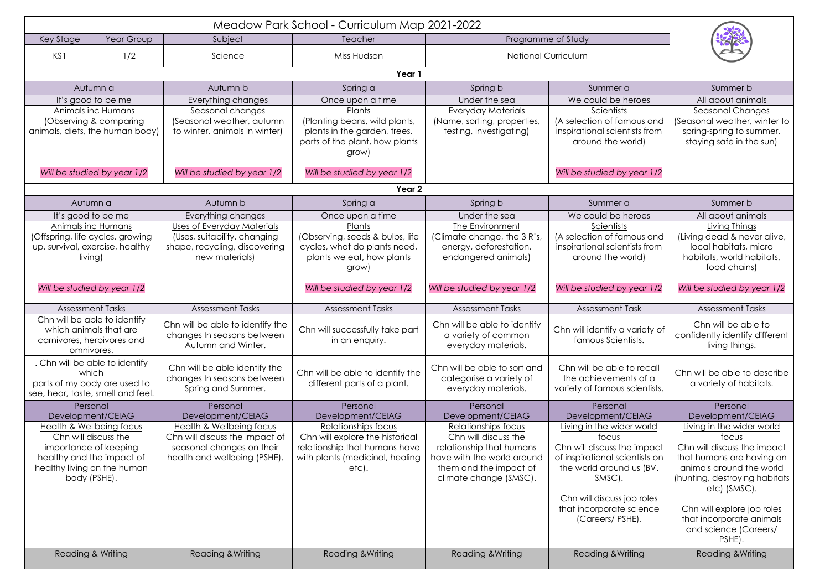| Key Stage<br>Year Group               |     | Subject                           | <b>Teacher</b>                                                  | Meadow Park School - Curriculum Map 2021-2022<br>Programme of Study |                                |                                |  |  |  |  |  |
|---------------------------------------|-----|-----------------------------------|-----------------------------------------------------------------|---------------------------------------------------------------------|--------------------------------|--------------------------------|--|--|--|--|--|
|                                       |     |                                   |                                                                 |                                                                     |                                |                                |  |  |  |  |  |
| KS1                                   | 1/2 | Science                           | Miss Hudson                                                     | <b>National Curriculum</b>                                          |                                |                                |  |  |  |  |  |
| Year 1                                |     |                                   |                                                                 |                                                                     |                                |                                |  |  |  |  |  |
| Autumn a                              |     | Autumn b                          | Spring a                                                        | Spring b                                                            | Summer a                       | Summer b                       |  |  |  |  |  |
| It's good to be me                    |     | Everything changes                | Once upon a time                                                | Under the sea                                                       | We could be heroes             | All about animals              |  |  |  |  |  |
| Animals inc Humans                    |     | Seasonal changes                  | Plants                                                          | Everyday Materials                                                  | Scientists                     | <b>Seasonal Changes</b>        |  |  |  |  |  |
| (Observing & comparing                |     | (Seasonal weather, autumn         | (Planting beans, wild plants,                                   | (Name, sorting, properties,                                         | (A selection of famous and     | (Seasonal weather, winter to   |  |  |  |  |  |
| animals, diets, the human body)       |     | to winter, animals in winter)     | plants in the garden, trees,                                    | testing, investigating)                                             | inspirational scientists from  | spring-spring to summer,       |  |  |  |  |  |
|                                       |     |                                   | parts of the plant, how plants                                  |                                                                     | around the world)              | staying safe in the sun)       |  |  |  |  |  |
|                                       |     |                                   | grow)                                                           |                                                                     |                                |                                |  |  |  |  |  |
| Will be studied by year 1/2           |     | Will be studied by year 1/2       | Will be studied by year 1/2                                     |                                                                     | Will be studied by year 1/2    |                                |  |  |  |  |  |
| Year 2                                |     |                                   |                                                                 |                                                                     |                                |                                |  |  |  |  |  |
| Autumn a                              |     | Autumn b                          | Spring a                                                        | Spring b                                                            | Summer a                       | Summer b                       |  |  |  |  |  |
| It's good to be me                    |     | Everything changes                | Once upon a time                                                | Under the sea                                                       | We could be heroes             | All about animals              |  |  |  |  |  |
| Animals inc Humans                    |     | <b>Uses of Everyday Materials</b> | Plants                                                          | The Environment                                                     | Scientists                     | Living Things                  |  |  |  |  |  |
| (Offspring, life cycles, growing      |     | (Uses, suitability, changing      | (Observing, seeds & bulbs, life                                 | (Climate change, the 3 R's,                                         | (A selection of famous and     | (Living dead & never alive,    |  |  |  |  |  |
| up, survival, exercise, healthy       |     | shape, recycling, discovering     | cycles, what do plants need,                                    | energy, deforestation,                                              | inspirational scientists from  | local habitats, micro          |  |  |  |  |  |
| living)                               |     | new materials)                    | plants we eat, how plants                                       | endangered animals)                                                 | around the world)              | habitats, world habitats,      |  |  |  |  |  |
|                                       |     |                                   | grow)                                                           |                                                                     |                                | food chains)                   |  |  |  |  |  |
|                                       |     |                                   |                                                                 |                                                                     |                                |                                |  |  |  |  |  |
| Will be studied by year 1/2           |     |                                   | Will be studied by year 1/2                                     | Will be studied by year 1/2                                         | Will be studied by year 1/2    | Will be studied by year 1/2    |  |  |  |  |  |
| <b>Assessment Tasks</b>               |     | <b>Assessment Tasks</b>           | <b>Assessment Tasks</b>                                         | <b>Assessment Tasks</b>                                             | <b>Assessment Task</b>         | <b>Assessment Tasks</b>        |  |  |  |  |  |
| Chn will be able to identify          |     | Chn will be able to identify the  |                                                                 | Chn will be able to identify                                        |                                | Chn will be able to            |  |  |  |  |  |
| which animals that are                |     | changes In seasons between        | Chn will successfully take part                                 | a variety of common                                                 | Chn will identify a variety of | confidently identify different |  |  |  |  |  |
| carnivores, herbivores and            |     | Autumn and Winter.                | in an enquiry.                                                  | everyday materials.                                                 | famous Scientists.             | living things.                 |  |  |  |  |  |
| omnivores.                            |     |                                   |                                                                 |                                                                     |                                |                                |  |  |  |  |  |
| . Chn will be able to identify        |     | Chn will be able identify the     |                                                                 | Chn will be able to sort and                                        | Chn will be able to recall     | Chn will be able to describe   |  |  |  |  |  |
| which<br>parts of my body are used to |     | changes In seasons between        | Chn will be able to identify the<br>different parts of a plant. | categorise a variety of                                             | the achievements of a          | a variety of habitats.         |  |  |  |  |  |
| see, hear, taste, smell and feel.     |     | Spring and Summer.                |                                                                 | everyday materials.                                                 | variety of famous scientists.  |                                |  |  |  |  |  |
| Personal                              |     | Personal                          | Personal                                                        | Personal                                                            | Personal                       | Personal                       |  |  |  |  |  |
| Development/CEIAG                     |     | Development/CEIAG                 | Development/CEIAG                                               | Development/CEIAG                                                   | Development/CEIAG              | Development/CEIAG              |  |  |  |  |  |
| Health & Wellbeing focus              |     | Health & Wellbeing focus          | Relationships focus                                             | Relationships focus                                                 | Living in the wider world      | Living in the wider world      |  |  |  |  |  |
| Chn will discuss the                  |     | Chn will discuss the impact of    | Chn will explore the historical                                 | Chn will discuss the                                                | foc <u>us</u>                  | focus                          |  |  |  |  |  |
| importance of keeping                 |     | seasonal changes on their         | relationship that humans have                                   | relationship that humans                                            | Chn will discuss the impact    | Chn will discuss the impact    |  |  |  |  |  |
| healthy and the impact of             |     | health and wellbeing (PSHE).      | with plants (medicinal, healing                                 | have with the world around                                          | of inspirational scientists on | that humans are having on      |  |  |  |  |  |
| healthy living on the human           |     |                                   | etc).                                                           | them and the impact of                                              | the world around us (BV.       | animals around the world       |  |  |  |  |  |
| body (PSHE).                          |     |                                   |                                                                 | climate change (SMSC).                                              | SMSC).                         | (hunting, destroying habitats  |  |  |  |  |  |
|                                       |     |                                   |                                                                 |                                                                     | Chn will discuss job roles     | etc) (SMSC).                   |  |  |  |  |  |
|                                       |     |                                   |                                                                 |                                                                     | that incorporate science       | Chn will explore job roles     |  |  |  |  |  |
|                                       |     |                                   |                                                                 |                                                                     | (Careers/PSHE).                | that incorporate animals       |  |  |  |  |  |
|                                       |     |                                   |                                                                 |                                                                     |                                | and science (Careers/          |  |  |  |  |  |
|                                       |     |                                   |                                                                 |                                                                     |                                | PSHE).                         |  |  |  |  |  |
| Reading & Writing                     |     | <b>Reading &amp; Writing</b>      | <b>Reading &amp; Writing</b>                                    | <b>Reading &amp; Writing</b>                                        | Reading & Writing              | <b>Reading &amp; Writing</b>   |  |  |  |  |  |
|                                       |     |                                   |                                                                 |                                                                     |                                |                                |  |  |  |  |  |